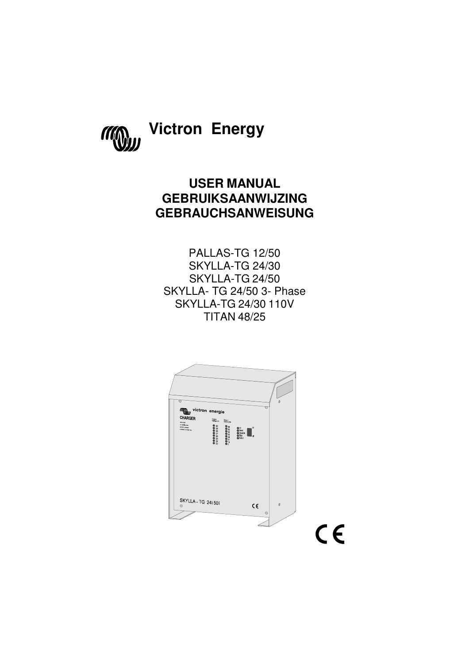

# **Victron Energy**

## **USER MANUAL GEBRUIKSAANWIJZING GEBRAUCHSANWEISUNG**

PALLAS-TG 12/50 SKYLLA-TG 24/30 SKYLLA-TG 24/50 SKYLLA- TG 24/50 3- Phase SKYLLA-TG 24/30 110V TITAN 48/25

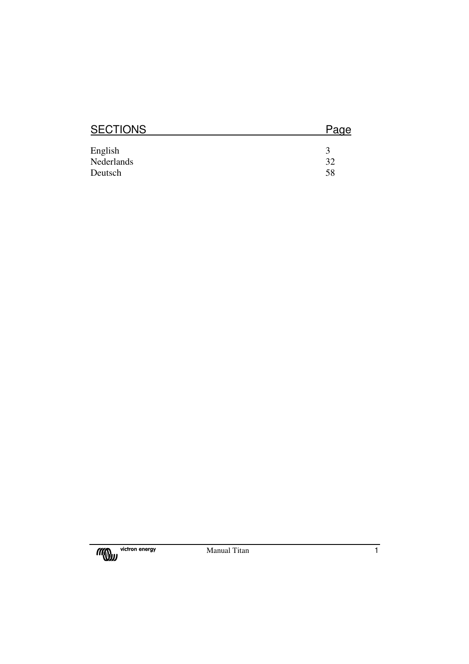| <b>SECTIONS</b> | Page |
|-----------------|------|
|                 |      |
| English         | 3    |
| Nederlands      | 32   |
| Deutsch         | 58   |

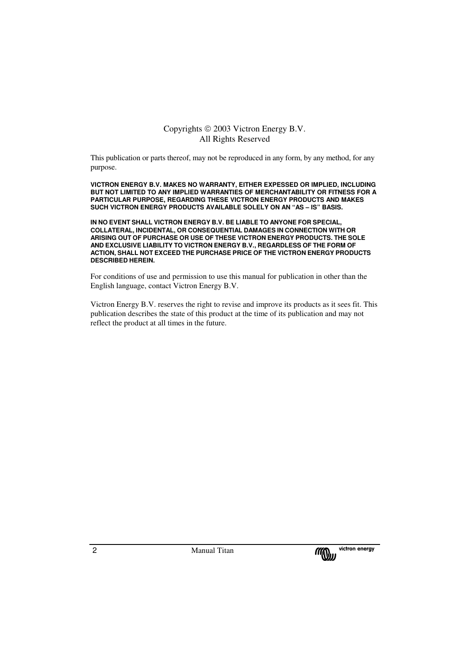## Copyrights  $\circledcirc$  2003 Victron Energy B.V. All Rights Reserved

This publication or parts thereof, may not be reproduced in any form, by any method, for any purpose.

**VICTRON ENERGY B.V. MAKES NO WARRANTY, EITHER EXPESSED OR IMPLIED, INCLUDING BUT NOT LIMITED TO ANY IMPLIED WARRANTIES OF MERCHANTABILITY OR FITNESS FOR A PARTICULAR PURPOSE, REGARDING THESE VICTRON ENERGY PRODUCTS AND MAKES SUCH VICTRON ENERGY PRODUCTS AVAILABLE SOLELY ON AN "AS – IS" BASIS.** 

**IN NO EVENT SHALL VICTRON ENERGY B.V. BE LIABLE TO ANYONE FOR SPECIAL, COLLATERAL, INCIDENTAL, OR CONSEQUENTIAL DAMAGES IN CONNECTION WITH OR ARISING OUT OF PURCHASE OR USE OF THESE VICTRON ENERGY PRODUCTS. THE SOLE AND EXCLUSIVE LIABILITY TO VICTRON ENERGY B.V., REGARDLESS OF THE FORM OF ACTION, SHALL NOT EXCEED THE PURCHASE PRICE OF THE VICTRON ENERGY PRODUCTS DESCRIBED HEREIN.** 

For conditions of use and permission to use this manual for publication in other than the English language, contact Victron Energy B.V.

Victron Energy B.V. reserves the right to revise and improve its products as it sees fit. This publication describes the state of this product at the time of its publication and may not reflect the product at all times in the future.

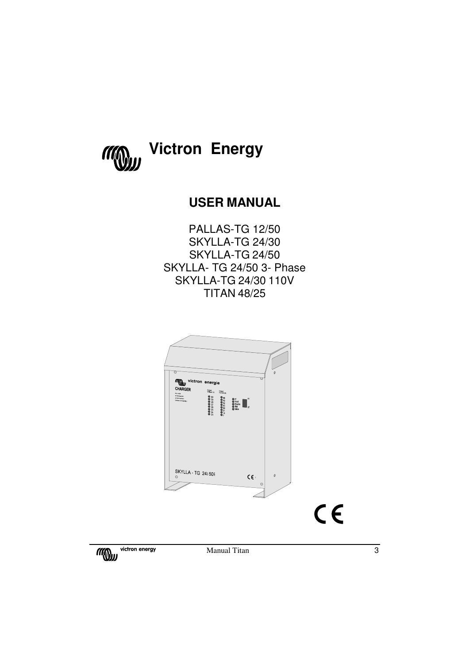

## **USER MANUAL**

PALLAS-TG 12/50 SKYLLA-TG 24/30 SKYLLA-TG 24/50 SKYLLA- TG 24/50 3- Phase SKYLLA-TG 24/30 110V TITAN 48/25



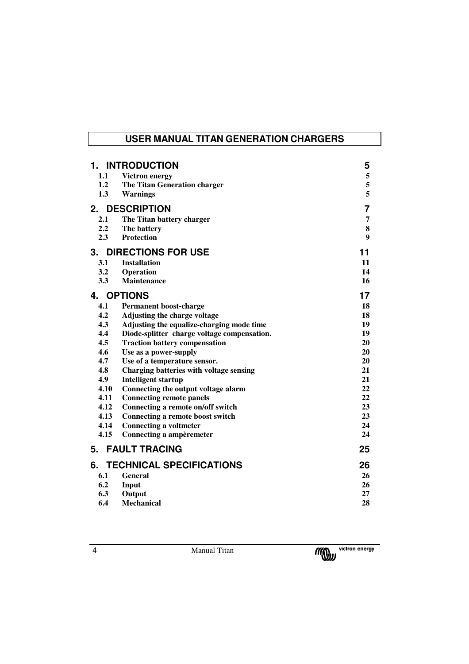## **USER MANUAL TITAN GENERATION CHARGERS**

|      | 1. INTRODUCTION                             | 5  |
|------|---------------------------------------------|----|
|      | 1.1 Victron energy                          | 5  |
| 1.2  | The Titan Generation charger                | 5  |
| 1.3  | <b>Warnings</b>                             | 5  |
| 2.   | <b>DESCRIPTION</b>                          | 7  |
| 2.1  | The Titan battery charger                   | 7  |
| 2.2  | The battery                                 | 8  |
| 2.3  | <b>Protection</b>                           | 9  |
| 3.   | <b>DIRECTIONS FOR USE</b>                   | 11 |
| 3.1  | <b>Installation</b>                         | 11 |
| 3.2  | Operation                                   | 14 |
| 3.3  | <b>Maintenance</b>                          | 16 |
| 4.   | <b>OPTIONS</b>                              | 17 |
| 4.1  | <b>Permanent boost-charge</b>               | 18 |
| 4.2  | Adjusting the charge voltage                | 18 |
| 4.3  | Adjusting the equalize-charging mode time   | 19 |
| 4.4  | Diode-splitter charge voltage compensation. | 19 |
| 4.5  | <b>Traction battery compensation</b>        | 20 |
| 4.6  | Use as a power-supply                       | 20 |
| 4.7  | Use of a temperature sensor.                | 20 |
| 4.8  | Charging batteries with voltage sensing     | 21 |
| 4.9  | <b>Intelligent startup</b>                  | 21 |
| 4.10 | Connecting the output voltage alarm         | 22 |
| 4.11 | <b>Connecting remote panels</b>             | 22 |
| 4.12 | Connecting a remote on/off switch           | 23 |
| 4.13 | Connecting a remote boost switch            | 23 |
| 4.14 | <b>Connecting a voltmeter</b>               | 24 |
| 4.15 | Connecting a ampèremeter                    | 24 |
| 5.   | <b>FAULT TRACING</b>                        | 25 |
| 6.   | <b>TECHNICAL SPECIFICATIONS</b>             | 26 |
| 6.1  | <b>General</b>                              | 26 |
| 6.2  | Input                                       | 26 |
| 6.3  | Output                                      | 27 |
| 6.4  | Mechanical                                  | 28 |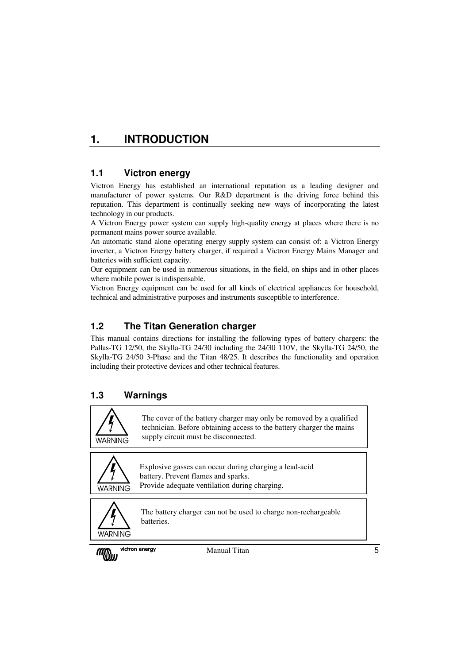## **1. INTRODUCTION**

## **1.1 Victron energy**

Victron Energy has established an international reputation as a leading designer and manufacturer of power systems. Our R&D department is the driving force behind this reputation. This department is continually seeking new ways of incorporating the latest technology in our products.

A Victron Energy power system can supply high-quality energy at places where there is no permanent mains power source available.

An automatic stand alone operating energy supply system can consist of: a Victron Energy inverter, a Victron Energy battery charger, if required a Victron Energy Mains Manager and batteries with sufficient capacity.

Our equipment can be used in numerous situations, in the field, on ships and in other places where mobile power is indispensable.

Victron Energy equipment can be used for all kinds of electrical appliances for household, technical and administrative purposes and instruments susceptible to interference.

## **1.2 The Titan Generation charger**

This manual contains directions for installing the following types of battery chargers: the Pallas-TG 12/50, the Skylla-TG 24/30 including the 24/30 110V, the Skylla-TG 24/50, the Skylla-TG 24/50 3-Phase and the Titan 48/25. It describes the functionality and operation including their protective devices and other technical features.

## **1.3 Warnings**

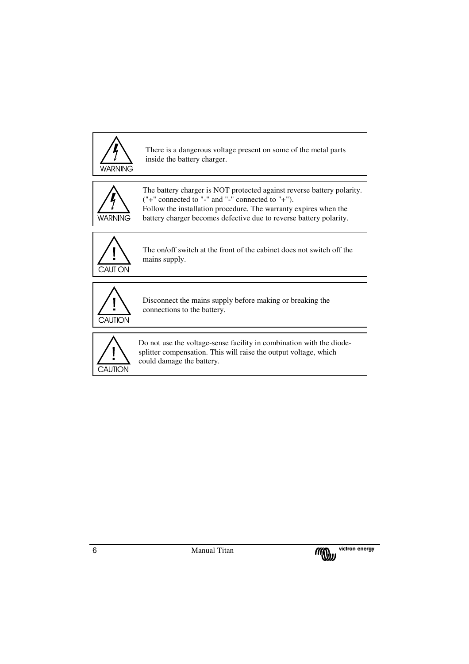

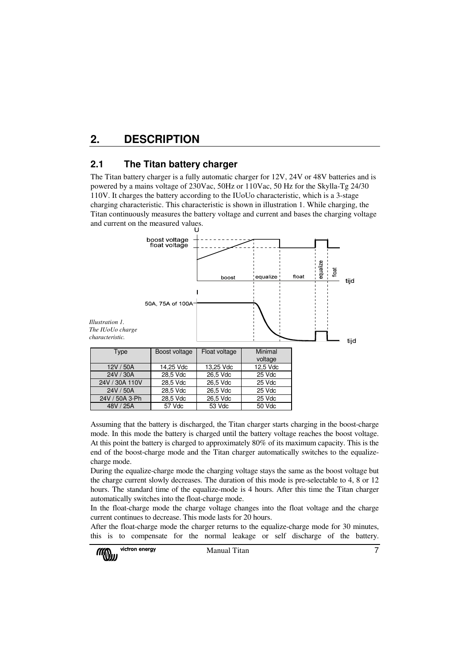## **2. DESCRIPTION**

## **2.1 The Titan battery charger**

The Titan battery charger is a fully automatic charger for 12V, 24V or 48V batteries and is powered by a mains voltage of 230Vac, 50Hz or 110Vac, 50 Hz for the Skylla-Tg 24/30 110V. It charges the battery according to the IUoUo characteristic, which is a 3-stage charging characteristic. This characteristic is shown in illustration 1. While charging, the Titan continuously measures the battery voltage and current and bases the charging voltage and current on the measured values.



Assuming that the battery is discharged, the Titan charger starts charging in the boost-charge mode. In this mode the battery is charged until the battery voltage reaches the boost voltage. At this point the battery is charged to approximately 80% of its maximum capacity. This is the end of the boost-charge mode and the Titan charger automatically switches to the equalizecharge mode.

48V / 25A | 57 Vdc | 53 Vdc | 50 Vdc

During the equalize-charge mode the charging voltage stays the same as the boost voltage but the charge current slowly decreases. The duration of this mode is pre-selectable to 4, 8 or 12 hours. The standard time of the equalize-mode is 4 hours. After this time the Titan charger automatically switches into the float-charge mode.

In the float-charge mode the charge voltage changes into the float voltage and the charge current continues to decrease. This mode lasts for 20 hours.

After the float-charge mode the charger returns to the equalize-charge mode for 30 minutes, this is to compensate for the normal leakage or self discharge of the battery.

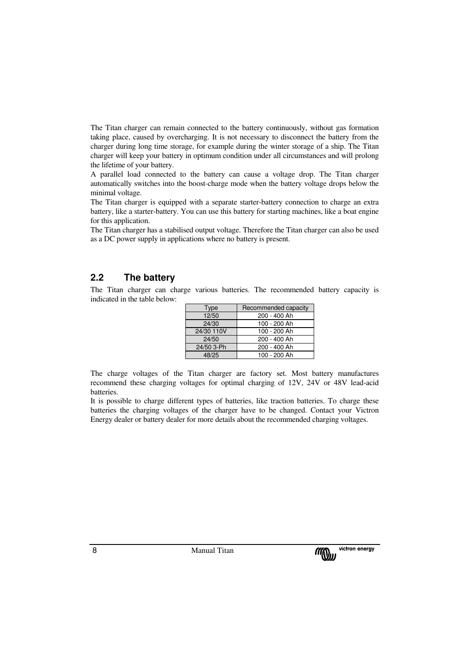The Titan charger can remain connected to the battery continuously, without gas formation taking place, caused by overcharging. It is not necessary to disconnect the battery from the charger during long time storage, for example during the winter storage of a ship. The Titan charger will keep your battery in optimum condition under all circumstances and will prolong the lifetime of your battery.

A parallel load connected to the battery can cause a voltage drop. The Titan charger automatically switches into the boost-charge mode when the battery voltage drops below the minimal voltage.

The Titan charger is equipped with a separate starter-battery connection to charge an extra battery, like a starter-battery. You can use this battery for starting machines, like a boat engine for this application.

The Titan charger has a stabilised output voltage. Therefore the Titan charger can also be used as a DC power supply in applications where no battery is present.

## **2.2 The battery**

The Titan charger can charge various batteries. The recommended battery capacity is indicated in the table below:

| Type       | Recommended capacity |
|------------|----------------------|
| 12/50      | 200 - 400 Ah         |
| 24/30      | 100 - 200 Ah         |
| 24/30 110V | 100 - 200 Ah         |
| 24/50      | 200 - 400 Ah         |
| 24/50 3-Ph | 200 - 400 Ah         |
| 48/25      | 100 - 200 Ah         |

The charge voltages of the Titan charger are factory set. Most battery manufactures recommend these charging voltages for optimal charging of 12V, 24V or 48V lead-acid batteries.

It is possible to charge different types of batteries, like traction batteries. To charge these batteries the charging voltages of the charger have to be changed. Contact your Victron Energy dealer or battery dealer for more details about the recommended charging voltages.

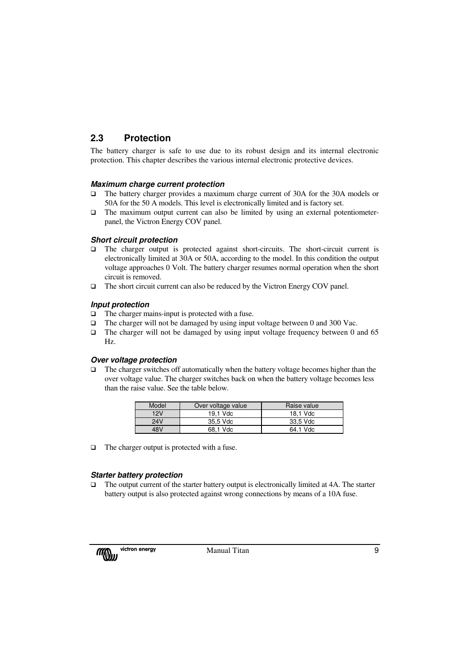## **2.3 Protection**

The battery charger is safe to use due to its robust design and its internal electronic protection. This chapter describes the various internal electronic protective devices.

## **Maximum charge current protection**

- The battery charger provides a maximum charge current of 30A for the 30A models or 50A for the 50 A models. This level is electronically limited and is factory set.
- $\Box$  The maximum output current can also be limited by using an external potentiometerpanel, the Victron Energy COV panel.

#### **Short circuit protection**

- The charger output is protected against short-circuits. The short-circuit current is electronically limited at 30A or 50A, according to the model. In this condition the output voltage approaches 0 Volt. The battery charger resumes normal operation when the short circuit is removed.
- The short circuit current can also be reduced by the Victron Energy COV panel.

#### **Input protection**

- $\Box$  The charger mains-input is protected with a fuse.
- The charger will not be damaged by using input voltage between 0 and 300 Vac.
- $\Box$  The charger will not be damaged by using input voltage frequency between 0 and 65 Hz.

#### **Over voltage protection**

 $\Box$  The charger switches off automatically when the battery voltage becomes higher than the over voltage value. The charger switches back on when the battery voltage becomes less than the raise value. See the table below.

| Model | Over voltage value | Raise value |
|-------|--------------------|-------------|
| 12V   | 19.1 Vdc           | 18.1 Vdc    |
| 24V   | 35.5 Vdc           | 33.5 Vdc    |
| 48V   | 68.1 Vdc           | 64.1 Vdc    |

 $\Box$  The charger output is protected with a fuse.

## **Starter battery protection**

 The output current of the starter battery output is electronically limited at 4A. The starter battery output is also protected against wrong connections by means of a 10A fuse.

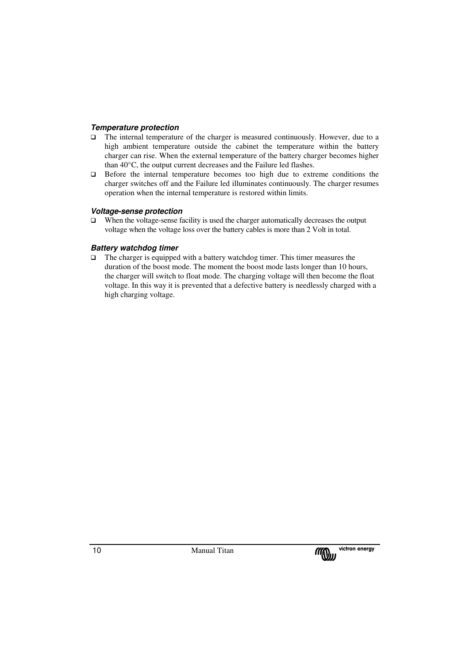#### **Temperature protection**

- $\Box$  The internal temperature of the charger is measured continuously. However, due to a high ambient temperature outside the cabinet the temperature within the battery charger can rise. When the external temperature of the battery charger becomes higher than 40°C, the output current decreases and the Failure led flashes.
- Before the internal temperature becomes too high due to extreme conditions the charger switches off and the Failure led illuminates continuously. The charger resumes operation when the internal temperature is restored within limits.

#### **Voltage-sense protection**

 $\Box$  When the voltage-sense facility is used the charger automatically decreases the output voltage when the voltage loss over the battery cables is more than 2 Volt in total.

#### **Battery watchdog timer**

 $\Box$  The charger is equipped with a battery watchdog timer. This timer measures the duration of the boost mode. The moment the boost mode lasts longer than 10 hours, the charger will switch to float mode. The charging voltage will then become the float voltage. In this way it is prevented that a defective battery is needlessly charged with a high charging voltage.

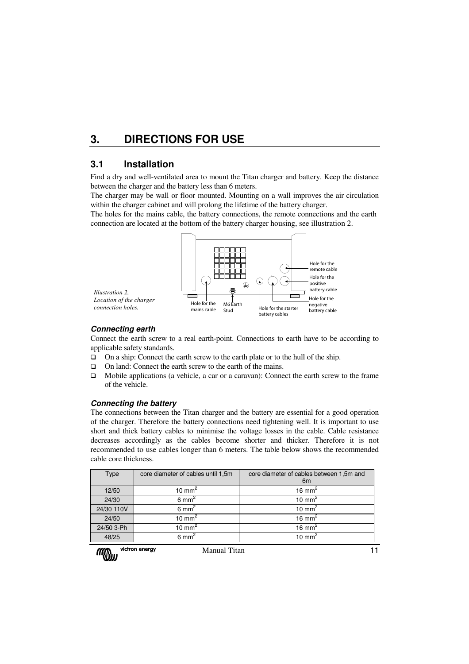## **3. DIRECTIONS FOR USE**

## **3.1 Installation**

Find a dry and well-ventilated area to mount the Titan charger and battery. Keep the distance between the charger and the battery less than 6 meters.

The charger may be wall or floor mounted. Mounting on a wall improves the air circulation within the charger cabinet and will prolong the lifetime of the battery charger.

The holes for the mains cable, the battery connections, the remote connections and the earth connection are located at the bottom of the battery charger housing, see illustration 2.



#### **Connecting earth**

Connect the earth screw to a real earth-point. Connections to earth have to be according to applicable safety standards.

- On a ship: Connect the earth screw to the earth plate or to the hull of the ship.
- On land: Connect the earth screw to the earth of the mains.
- Mobile applications (a vehicle, a car or a caravan): Connect the earth screw to the frame of the vehicle.

#### **Connecting the battery**

The connections between the Titan charger and the battery are essential for a good operation of the charger. Therefore the battery connections need tightening well. It is important to use short and thick battery cables to minimise the voltage losses in the cable. Cable resistance decreases accordingly as the cables become shorter and thicker. Therefore it is not recommended to use cables longer than 6 meters. The table below shows the recommended cable core thickness.

| Type       | core diameter of cables until 1,5m | core diameter of cables between 1,5m and<br>6 <sub>m</sub> |
|------------|------------------------------------|------------------------------------------------------------|
| 12/50      | 10 mm <sup>2</sup>                 | 16 mm <sup>2</sup>                                         |
| 24/30      | $6 \text{ mm}^2$                   | 10 mm <sup>2</sup>                                         |
| 24/30 110V | $6 \text{ mm}^2$                   | $10 \text{ mm}^2$                                          |
| 24/50      | 10 mm <sup>2</sup>                 | 16 mm <sup>2</sup>                                         |
| 24/50 3-Ph | 10 mm <sup>2</sup>                 | 16 mm <sup>2</sup>                                         |
| 48/25      | $6 \text{ mm}^2$                   | $10 \text{ mm}^2$                                          |

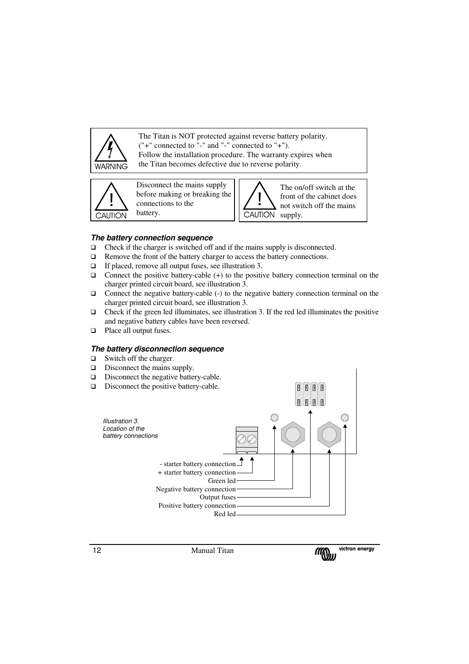

The Titan is NOT protected against reverse battery polarity. ("+" connected to "-" and "-" connected to "+"). Follow the installation procedure. The warranty expires when the Titan becomes defective due to reverse polarity.

.



Disconnect the mains supply before making or breaking the connections to the battery.



#### **The battery connection sequence**

- $\Box$  Check if the charger is switched off and if the mains supply is disconnected.
- $\Box$  Remove the front of the battery charger to access the battery connections.
- $\Box$  If placed, remove all output fuses, see illustration 3.
- $\Box$  Connect the positive battery-cable (+) to the positive battery connection terminal on the charger printed circuit board, see illustration 3.
- Connect the negative battery-cable (-) to the negative battery connection terminal on the charger printed circuit board, see illustration 3.
- $\Box$  Check if the green led illuminates, see illustration 3. If the red led illuminates the positive and negative battery cables have been reversed.
- □ Place all output fuses.

#### **The battery disconnection sequence**

- $\Box$  Switch off the charger.
- $\Box$  Disconnect the mains supply.
- Disconnect the negative battery-cable.
- Disconnect the positive battery-cable.



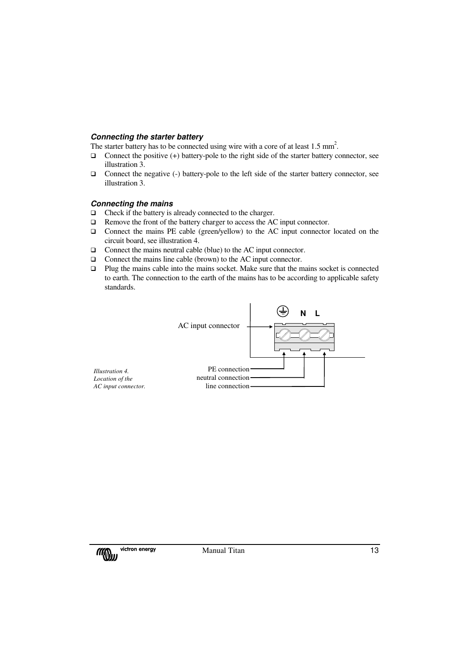#### **Connecting the starter battery**

The starter battery has to be connected using wire with a core of at least  $1.5 \text{ mm}^2$ .

- $\Box$  Connect the positive (+) battery-pole to the right side of the starter battery connector, see illustration 3.
- $\Box$  Connect the negative (-) battery-pole to the left side of the starter battery connector, see illustration 3.

#### **Connecting the mains**

- $\Box$  Check if the battery is already connected to the charger.
- □ Remove the front of the battery charger to access the AC input connector.
- Connect the mains PE cable (green/yellow) to the AC input connector located on the circuit board, see illustration 4.
- □ Connect the mains neutral cable (blue) to the AC input connector.
- □ Connect the mains line cable (brown) to the AC input connector.
- Plug the mains cable into the mains socket. Make sure that the mains socket is connected to earth. The connection to the earth of the mains has to be according to applicable safety standards.



*Illustration 4. Location of the AC input connector.*

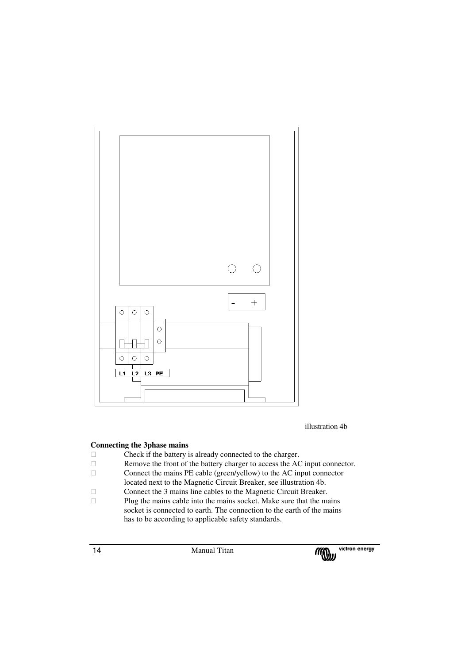

illustration 4b

#### **Connecting the 3phase mains**

 Check if the battery is already connected to the charger. Remove the front of the battery charger to access the AC input connector. Connect the mains PE cable (green/yellow) to the AC input connector located next to the Magnetic Circuit Breaker, see illustration 4b. Connect the 3 mains line cables to the Magnetic Circuit Breaker. Plug the mains cable into the mains socket. Make sure that the mains socket is connected to earth. The connection to the earth of the mains has to be according to applicable safety standards.

14 Manual Titan

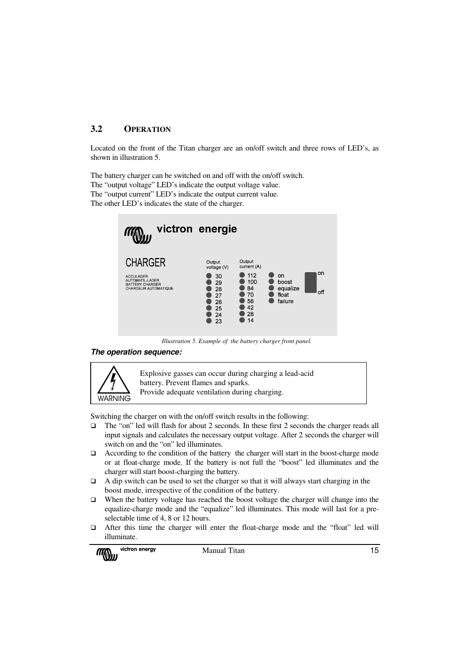## **3.2 OPERATION**

Located on the front of the Titan charger are an on/off switch and three rows of LED's, as shown in illustration 5.

The battery charger can be switched on and off with the on/off switch. The "output voltage" LED's indicate the output voltage value. The "output current" LED's indicate the output current value. The other LED's indicates the state of the charger.



*Illustration 5. Example of the battery charger front panel.* 

#### **The operation sequence:**



Explosive gasses can occur during charging a lead-acid battery. Prevent flames and sparks. Provide adequate ventilation during charging.

Switching the charger on with the on/off switch results in the following:

- The "on" led will flash for about 2 seconds. In these first 2 seconds the charger reads all input signals and calculates the necessary output voltage. After 2 seconds the charger will switch on and the "on" led illuminates.
- $\Box$  According to the condition of the battery the charger will start in the boost-charge mode or at float-charge mode. If the battery is not full the "boost" led illuminates and the charger will start boost-charging the battery.
- $\Box$  A dip switch can be used to set the charger so that it will always start charging in the boost mode, irrespective of the condition of the battery.
- $\Box$  When the battery voltage has reached the boost voltage the charger will change into the equalize-charge mode and the "equalize" led illuminates. This mode will last for a preselectable time of 4, 8 or 12 hours.
- After this time the charger will enter the float-charge mode and the "float" led will illuminate.

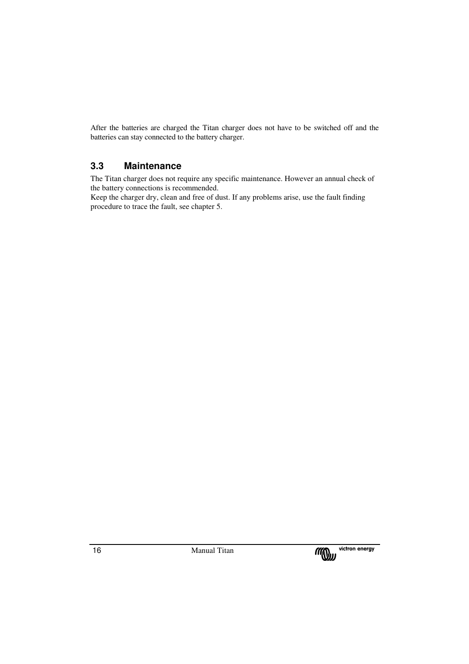After the batteries are charged the Titan charger does not have to be switched off and the batteries can stay connected to the battery charger.

## **3.3 Maintenance**

The Titan charger does not require any specific maintenance. However an annual check of the battery connections is recommended.

Keep the charger dry, clean and free of dust. If any problems arise, use the fault finding procedure to trace the fault, see chapter 5.

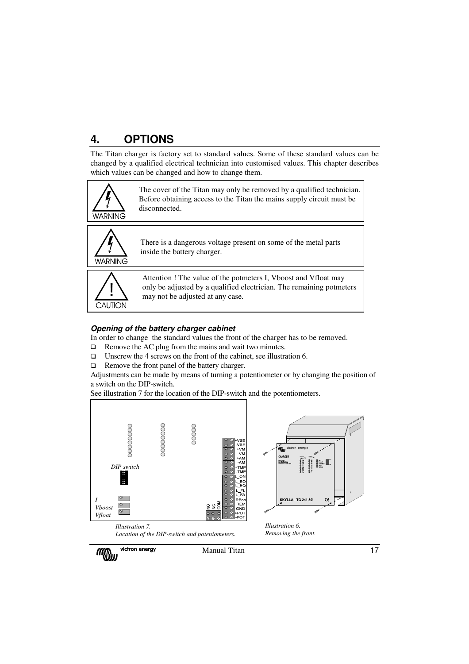## **4. OPTIONS**

The Titan charger is factory set to standard values. Some of these standard values can be changed by a qualified electrical technician into customised values. This chapter describes which values can be changed and how to change them.



The cover of the Titan may only be removed by a qualified technician. Before obtaining access to the Titan the mains supply circuit must be disconnected.



There is a dangerous voltage present on some of the metal parts inside the battery charger.



Attention ! The value of the potmeters I, Vboost and Vfloat may only be adjusted by a qualified electrician. The remaining potmeters may not be adjusted at any case.

## **Opening of the battery charger cabinet**

In order to change the standard values the front of the charger has to be removed.

- $\Box$  Remove the AC plug from the mains and wait two minutes.
- Unscrew the 4 screws on the front of the cabinet, see illustration 6.
- □ Remove the front panel of the battery charger.

Adjustments can be made by means of turning a potentiometer or by changing the position of a switch on the DIP-switch.

See illustration 7 for the location of the DIP-switch and the potentiometers.

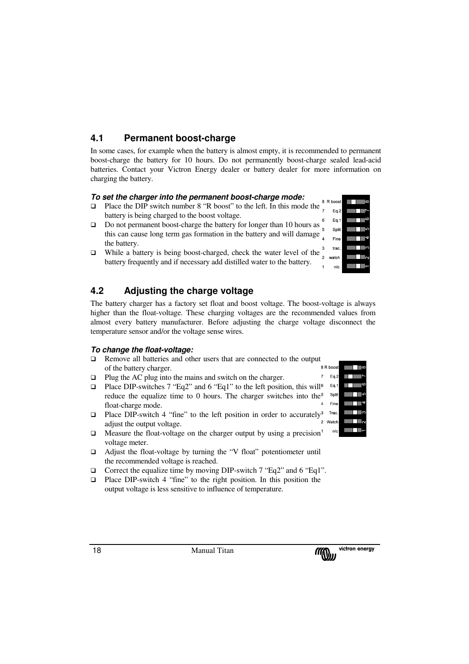## **4.1 Permanent boost-charge**

In some cases, for example when the battery is almost empty, it is recommended to permanent boost-charge the battery for 10 hours. Do not permanently boost-charge sealed lead-acid batteries. Contact your Victron Energy dealer or battery dealer for more information on charging the battery.

## **To set the charger into the permanent boost-charge mode:**

- Place the DIP switch number  $8$  "R boost" to the left. In this mode the  $8$ battery is being charged to the boost voltage.
- $\Box$  Do not permanent boost-charge the battery for longer than 10 hours as  $\Box$ this can cause long term gas formation in the battery and will damage the battery.
- $\Box$  While a battery is being boost-charged, check the water level of the battery frequently and if necessary add distilled water to the battery.

## **4.2 Adjusting the charge voltage**

The battery charger has a factory set float and boost voltage. The boost-voltage is always higher than the float-voltage. These charging voltages are the recommended values from almost every battery manufacturer. Before adjusting the charge voltage disconnect the temperature sensor and/or the voltage sense wires.

## **To change the float-voltage:**

- Remove all batteries and other users that are connected to the output of the battery charger.
- $\Box$  Plug the AC plug into the mains and switch on the charger.
- **Place DIP-switches 7 "Eq2" and 6 "Eq1" to the left position, this will**<sup>6</sup> reduce the equalize time to 0 hours. The charger switches into the<sup>5</sup> float-charge mode.
- Place DIP-switch 4 "fine" to the left position in order to accurately<sup>3</sup> Trac adjust the output voltage.
- $\Box$  Measure the float-voltage on the charger output by using a precision<sup>1</sup> voltage meter.
- $\Box$  Adjust the float-voltage by turning the "V float" potentiometer until the recommended voltage is reached.
- $\Box$  Correct the equalize time by moving DIP-switch 7 "Eq2" and 6 "Eq1".
- $\Box$  Place DIP-switch 4 "fine" to the right position. In this position the output voltage is less sensitive to influence of temperature.





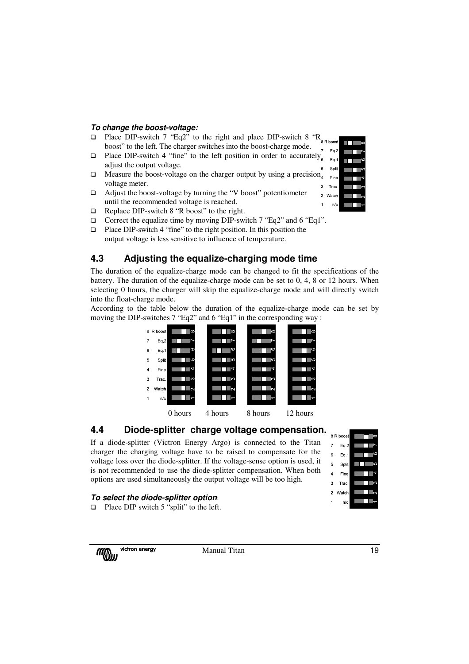#### **To change the boost-voltage:**

- Place DIP-switch 7 "Eq2" to the right and place DIP-switch 8 "R<sub>8 R boost</sub> boost" to the left. The charger switches into the boost-charge mode.
- **Q** Place DIP-switch 4 "fine" to the left position in order to accurately<sub>6</sub> adjust the output voltage.
- $\Box$  Measure the boost-voltage on the charger output by using a precision<sub>4</sub> voltage meter.  $\overline{3}$
- $\Box$  Adjust the boost-voltage by turning the "V boost" potentiometer until the recommended voltage is reached.
- Replace DIP-switch 8 "R boost" to the right.
- □ Correct the equalize time by moving DIP-switch 7 "Eq2" and 6 "Eq1".
- $\Box$  Place DIP-switch 4 "fine" to the right position. In this position the output voltage is less sensitive to influence of temperature.

## **4.3 Adjusting the equalize-charging mode time**

The duration of the equalize-charge mode can be changed to fit the specifications of the battery. The duration of the equalize-charge mode can be set to 0, 4, 8 or 12 hours. When selecting 0 hours, the charger will skip the equalize-charge mode and will directly switch into the float-charge mode.

According to the table below the duration of the equalize-charge mode can be set by moving the DIP-switches 7 "Eq2" and 6 "Eq1" in the corresponding way :





If a diode-splitter (Victron Energy Argo) is connected to the Titan charger the charging voltage have to be raised to compensate for the voltage loss over the diode-splitter. If the voltage-sense option is used, it is not recommended to use the diode-splitter compensation. When both options are used simultaneously the output voltage will be too high.

#### **To select the diode-splitter option**:

 $\Box$  Place DIP switch 5 "split" to the left.

**MOUL** 

victron energy **Manual Titan** 19



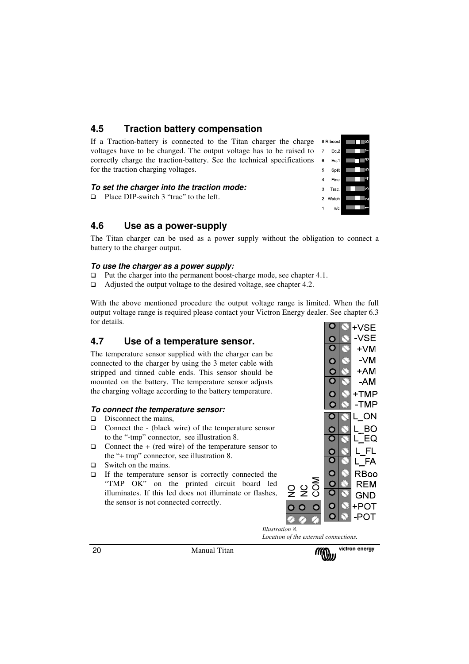## **4.5 Traction battery compensation**

If a Traction-battery is connected to the Titan charger the charge voltages have to be changed. The output voltage has to be raised to correctly charge the traction-battery. See the technical specifications for the traction charging voltages.

#### **To set the charger into the traction mode:**

□ Place DIP-switch 3 "trac" to the left.

## **4.6 Use as a power-supply**

The Titan charger can be used as a power supply without the obligation to connect a battery to the charger output.

#### **To use the charger as a power supply:**

- $\Box$  Put the charger into the permanent boost-charge mode, see chapter 4.1.
- □ Adjusted the output voltage to the desired voltage, see chapter 4.2.

With the above mentioned procedure the output voltage range is limited. When the full output voltage range is required please contact your Victron Energy dealer. See chapter 6.3 for details.  $\Omega$ 

## **4.7 Use of a temperature sensor.**

The temperature sensor supplied with the charger can be connected to the charger by using the 3 meter cable with stripped and tinned cable ends. This sensor should be mounted on the battery. The temperature sensor adjusts the charging voltage according to the battery temperature.

#### **To connect the temperature sensor:**

- $\Box$  Disconnect the mains,
- $\Box$  Connect the (black wire) of the temperature sensor to the "-tmp" connector, see illustration 8.
- $\Box$  Connect the + (red wire) of the temperature sensor to the "+ tmp" connector, see illustration 8.
- $\Box$  Switch on the mains.
- If the temperature sensor is correctly connected the "TMP OK" on the printed circuit board led illuminates. If this led does not illuminate or flashes, the sensor is not connected correctly.



*Illustration 8. Location of the external connections.*

O





20 Manual Titan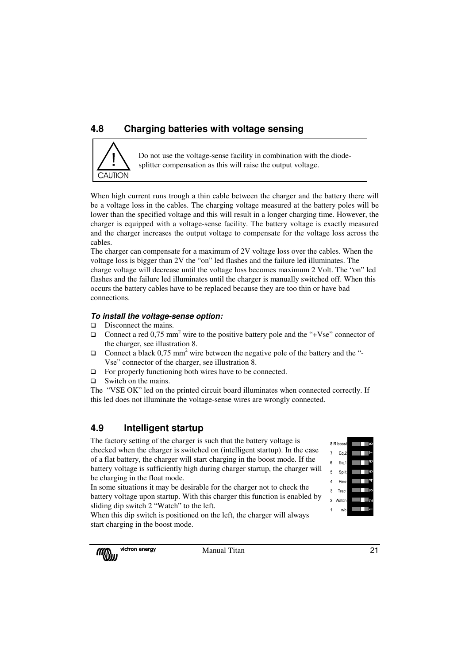## **4.8 Charging batteries with voltage sensing**



Do not use the voltage-sense facility in combination with the diodesplitter compensation as this will raise the output voltage.

When high current runs trough a thin cable between the charger and the battery there will be a voltage loss in the cables. The charging voltage measured at the battery poles will be lower than the specified voltage and this will result in a longer charging time. However, the charger is equipped with a voltage-sense facility. The battery voltage is exactly measured and the charger increases the output voltage to compensate for the voltage loss across the cables.

The charger can compensate for a maximum of 2V voltage loss over the cables. When the voltage loss is bigger than 2V the "on" led flashes and the failure led illuminates. The charge voltage will decrease until the voltage loss becomes maximum 2 Volt. The "on" led flashes and the failure led illuminates until the charger is manually switched off. When this occurs the battery cables have to be replaced because they are too thin or have bad connections.

## **To install the voltage-sense option:**

- D Disconnect the mains.
- $\Box$  Connect a red 0,75 mm<sup>2</sup> wire to the positive battery pole and the "+Vse" connector of the charger, see illustration 8.
- $\Box$  Connect a black 0,75 mm<sup>2</sup> wire between the negative pole of the battery and the "-Vse" connector of the charger, see illustration 8.
- $\Box$  For properly functioning both wires have to be connected.
- $\Box$  Switch on the mains.

The "VSE OK" led on the printed circuit board illuminates when connected correctly. If this led does not illuminate the voltage-sense wires are wrongly connected.

## **4.9 Intelligent startup**

The factory setting of the charger is such that the battery voltage is checked when the charger is switched on (intelligent startup). In the case of a flat battery, the charger will start charging in the boost mode. If the battery voltage is sufficiently high during charger startup, the charger will be charging in the float mode.

In some situations it may be desirable for the charger not to check the battery voltage upon startup. With this charger this function is enabled by sliding dip switch 2 "Watch" to the left.



When this dip switch is positioned on the left, the charger will always start charging in the boost mode.



victron energy Manual Titan 21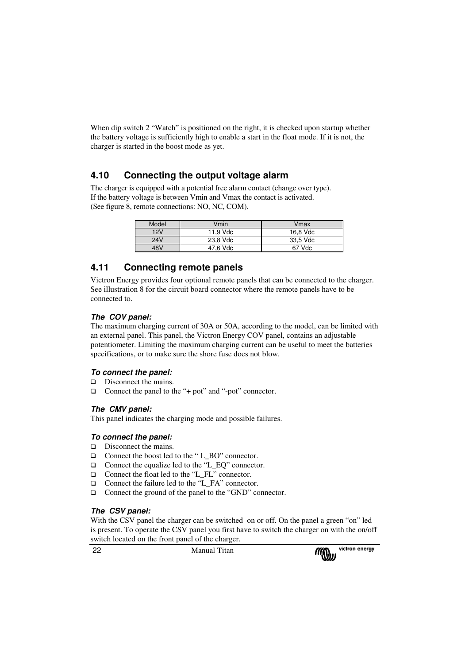When dip switch 2 "Watch" is positioned on the right, it is checked upon startup whether the battery voltage is sufficiently high to enable a start in the float mode. If it is not, the charger is started in the boost mode as yet.

## **4.10 Connecting the output voltage alarm**

The charger is equipped with a potential free alarm contact (change over type). If the battery voltage is between Vmin and Vmax the contact is activated. (See figure 8, remote connections: NO, NC, COM).

| Model | Vmin     | Vmax     |
|-------|----------|----------|
| 12V   | 11.9 Vdc | 16.8 Vdc |
| 24V   | 23.8 Vdc | 33.5 Vdc |
| 48V   | 47,6 Vdc | 67 Vdc   |

## **4.11 Connecting remote panels**

Victron Energy provides four optional remote panels that can be connected to the charger. See illustration 8 for the circuit board connector where the remote panels have to be connected to.

## **The COV panel:**

The maximum charging current of 30A or 50A, according to the model, can be limited with an external panel. This panel, the Victron Energy COV panel, contains an adjustable potentiometer. Limiting the maximum charging current can be useful to meet the batteries specifications, or to make sure the shore fuse does not blow.

## **To connect the panel:**

- Disconnect the mains.
- □ Connect the panel to the "+ pot" and "-pot" connector.

## **The CMV panel:**

This panel indicates the charging mode and possible failures.

## **To connect the panel:**

- $\Box$  Disconnect the mains.
- □ Connect the boost led to the "L\_BO" connector.
- □ Connect the equalize led to the "L\_EQ" connector.
- □ Connect the float led to the "L\_FL" connector.
- □ Connect the failure led to the "L\_FA" connector.
- □ Connect the ground of the panel to the "GND" connector.

## **The CSV panel:**

With the CSV panel the charger can be switched on or off. On the panel a green "on" led is present. To operate the CSV panel you first have to switch the charger on with the on/off switch located on the front panel of the charger.

**Manual Titan** 

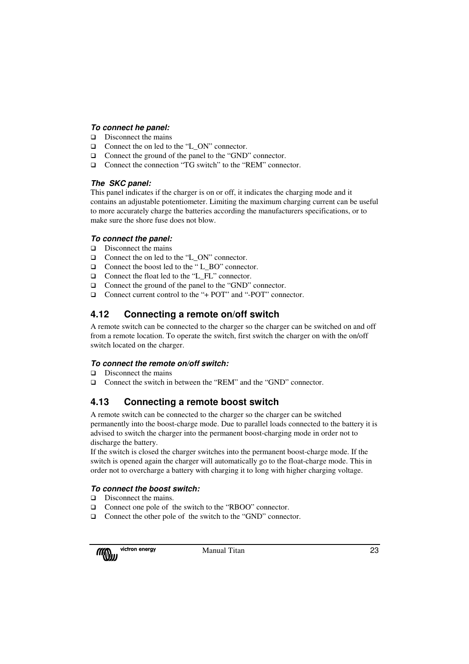## **To connect he panel:**

- $\Box$  Disconnect the mains
- □ Connect the on led to the "L\_ON" connector.
- □ Connect the ground of the panel to the "GND" connector.
- □ Connect the connection "TG switch" to the "REM" connector.

#### **The SKC panel:**

This panel indicates if the charger is on or off, it indicates the charging mode and it contains an adjustable potentiometer. Limiting the maximum charging current can be useful to more accurately charge the batteries according the manufacturers specifications, or to make sure the shore fuse does not blow.

#### **To connect the panel:**

- $\Box$  Disconnect the mains
- □ Connect the on led to the "L\_ON" connector.
- □ Connect the boost led to the "L\_BO" connector.
- □ Connect the float led to the "L\_FL" connector.
- □ Connect the ground of the panel to the "GND" connector.
- □ Connect current control to the "+ POT" and "-POT" connector.

## **4.12 Connecting a remote on/off switch**

A remote switch can be connected to the charger so the charger can be switched on and off from a remote location. To operate the switch, first switch the charger on with the on/off switch located on the charger.

## **To connect the remote on/off switch:**

- $\Box$  Disconnect the mains
- □ Connect the switch in between the "REM" and the "GND" connector.

## **4.13 Connecting a remote boost switch**

A remote switch can be connected to the charger so the charger can be switched permanently into the boost-charge mode. Due to parallel loads connected to the battery it is advised to switch the charger into the permanent boost-charging mode in order not to discharge the battery.

If the switch is closed the charger switches into the permanent boost-charge mode. If the switch is opened again the charger will automatically go to the float-charge mode. This in order not to overcharge a battery with charging it to long with higher charging voltage.

## **To connect the boost switch:**

- $\Box$  Disconnect the mains.
- □ Connect one pole of the switch to the "RBOO" connector.
- □ Connect the other pole of the switch to the "GND" connector.

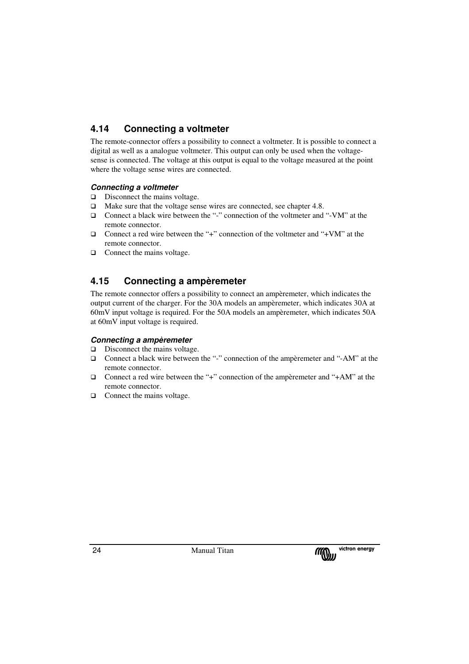## **4.14 Connecting a voltmeter**

The remote-connector offers a possibility to connect a voltmeter. It is possible to connect a digital as well as a analogue voltmeter. This output can only be used when the voltagesense is connected. The voltage at this output is equal to the voltage measured at the point where the voltage sense wires are connected.

## **Connecting a voltmeter**

- $\Box$  Disconnect the mains voltage.
- $\Box$  Make sure that the voltage sense wires are connected, see chapter 4.8.
- Connect a black wire between the "-" connection of the voltmeter and "-VM" at the remote connector.
- $\Box$  Connect a red wire between the "+" connection of the voltmeter and "+VM" at the remote connector.
- $\Box$  Connect the mains voltage.

## **4.15 Connecting a ampèremeter**

The remote connector offers a possibility to connect an ampèremeter, which indicates the output current of the charger. For the 30A models an ampèremeter, which indicates 30A at 60mV input voltage is required. For the 50A models an ampèremeter, which indicates 50A at 60mV input voltage is required.

## **Connecting a ampèremeter**

- $\Box$  Disconnect the mains voltage.
- Connect a black wire between the "-" connection of the ampèremeter and "-AM" at the remote connector.
- □ Connect a red wire between the "+" connection of the ampèremeter and "+AM" at the remote connector.
- $\Box$  Connect the mains voltage.

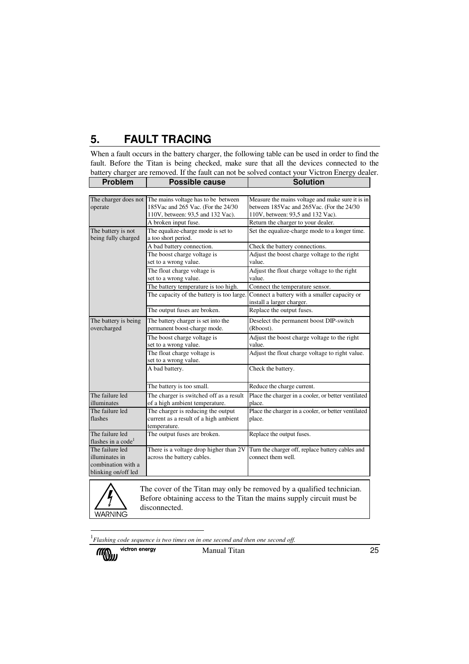## **5. FAULT TRACING**

When a fault occurs in the battery charger, the following table can be used in order to find the fault. Before the Titan is being checked, make sure that all the devices connected to the battery charger are removed. If the fault can not be solved contact your Victron Energy dealer.

| <b>Problem</b>                                                                 | <b>Possible cause</b>                                                                                           | <b>Solution</b>                                                                                                                    |
|--------------------------------------------------------------------------------|-----------------------------------------------------------------------------------------------------------------|------------------------------------------------------------------------------------------------------------------------------------|
|                                                                                |                                                                                                                 |                                                                                                                                    |
| The charger does not<br>operate                                                | The mains voltage has to be between<br>185Vac and 265 Vac. (For the 24/30)<br>110V, between: 93,5 and 132 Vac). | Measure the mains voltage and make sure it is in<br>between 185Vac and 265Vac. (For the 24/30<br>110V, between: 93,5 and 132 Vac). |
|                                                                                | A broken input fuse.                                                                                            | Return the charger to your dealer.                                                                                                 |
| The battery is not<br>being fully charged                                      | The equalize-charge mode is set to<br>a too short period.                                                       | Set the equalize-charge mode to a longer time.                                                                                     |
|                                                                                | A bad battery connection.                                                                                       | Check the battery connections.                                                                                                     |
|                                                                                | The boost charge voltage is<br>set to a wrong value.                                                            | Adjust the boost charge voltage to the right<br>value.                                                                             |
|                                                                                | The float charge voltage is<br>set to a wrong value.                                                            | Adjust the float charge voltage to the right<br>value.                                                                             |
|                                                                                | The battery temperature is too high.                                                                            | Connect the temperature sensor.                                                                                                    |
|                                                                                | The capacity of the battery is too large.                                                                       | Connect a battery with a smaller capacity or<br>install a larger charger.                                                          |
|                                                                                | The output fuses are broken.                                                                                    | Replace the output fuses.                                                                                                          |
| The battery is being<br>overcharged                                            | The battery charger is set into the<br>permanent boost-charge mode.                                             | Deselect the permanent boost DIP-switch<br>(Rboost).                                                                               |
|                                                                                | The boost charge voltage is<br>set to a wrong value.                                                            | Adjust the boost charge voltage to the right<br>value.                                                                             |
|                                                                                | The float charge voltage is<br>set to a wrong value.                                                            | Adjust the float charge voltage to right value.                                                                                    |
|                                                                                | A bad battery.                                                                                                  | Check the battery.                                                                                                                 |
|                                                                                | The battery is too small.                                                                                       | Reduce the charge current.                                                                                                         |
| The failure led<br>illuminates                                                 | The charger is switched off as a result<br>of a high ambient temperature.                                       | Place the charger in a cooler, or better ventilated<br>place.                                                                      |
| The failure led<br>flashes                                                     | The charger is reducing the output<br>current as a result of a high ambient<br>temperature.                     | Place the charger in a cooler, or better ventilated<br>place.                                                                      |
| The failure led<br>flashes in a code <sup>1</sup>                              | The output fuses are broken.                                                                                    | Replace the output fuses.                                                                                                          |
| The failure led<br>illuminates in<br>combination with a<br>blinking on/off led | There is a voltage drop higher than 2V<br>across the battery cables.                                            | Turn the charger off, replace battery cables and<br>connect them well.                                                             |

**WARNING** 

The cover of the Titan may only be removed by a qualified technician. Before obtaining access to the Titan the mains supply circuit must be disconnected.

<sup>1</sup> *Flashing code sequence is two times on in one second and then one second off.*



 $\overline{a}$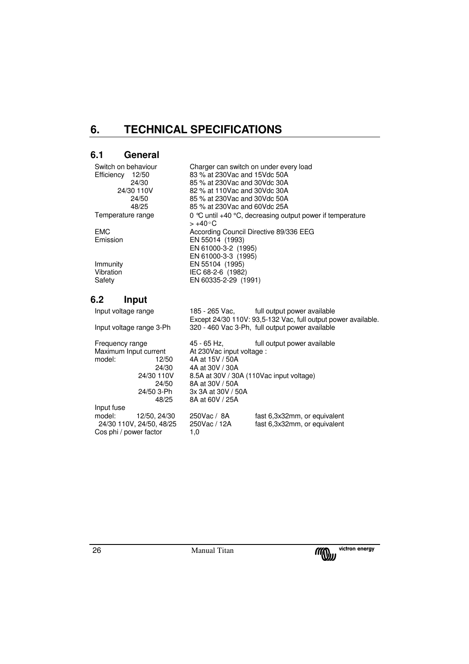## **6. TECHNICAL SPECIFICATIONS**

## **6.1 General**

| Switch on behaviour | Charger can switch on under every load                                         |
|---------------------|--------------------------------------------------------------------------------|
| Efficiency<br>12/50 | 83 % at 230 Vac and 15 Vdc 50 A                                                |
| 24/30               | 85 % at 230 Vac and 30 Vdc 30 A                                                |
| 24/30 110V          | 82 % at 110 Vac and 30 Vdc 30 A                                                |
| 24/50               | 85 % at 230 Vac and 30 Vdc 50 A                                                |
| 48/25               | 85 % at 230 Vac and 60 Vdc 25A                                                 |
| Temperature range   | 0 °C until +40 °C, decreasing output power if temperature<br>$> +40^{\circ}$ C |
| <b>EMC</b>          | According Council Directive 89/336 EEG                                         |
| Emission            | EN 55014 (1993)                                                                |
|                     | EN 61000-3-2 (1995)                                                            |
|                     | EN 61000-3-3 (1995)                                                            |
| Immunity            | EN 55104 (1995)                                                                |
| Vibration           | IEC 68-2-6 (1982)                                                              |
| Safety              | EN 60335-2-29 (1991)                                                           |
|                     |                                                                                |

## **6.2 Input**

| Input voltage range      |                                          | 185 - 265 Vac, full output power available                                                                       |
|--------------------------|------------------------------------------|------------------------------------------------------------------------------------------------------------------|
| Input voltage range 3-Ph |                                          | Except 24/30 110V: 93,5-132 Vac, full output power available.<br>320 - 460 Vac 3-Ph, full output power available |
|                          |                                          |                                                                                                                  |
| Frequency range          | 45 - 65 Hz.                              | full output power available                                                                                      |
| Maximum Input current    | At 230 Vac input voltage :               |                                                                                                                  |
| model:<br>12/50          | 4A at 15V / 50A                          |                                                                                                                  |
| 24/30                    | 4A at 30V / 30A                          |                                                                                                                  |
| 24/30 110V               | 8.5A at 30V / 30A (110Vac input voltage) |                                                                                                                  |
| 24/50                    | 8A at 30V / 50A                          |                                                                                                                  |
| 24/50 3-Ph               | 3x 3A at 30V / 50A                       |                                                                                                                  |
| 48/25                    | 8A at 60V / 25A                          |                                                                                                                  |
| Input fuse               |                                          |                                                                                                                  |
| model:<br>12/50, 24/30   | 250Vac / 8A                              | fast 6,3x32mm, or equivalent                                                                                     |
| 24/30 110V, 24/50, 48/25 | 250Vac / 12A                             | fast 6,3x32mm, or equivalent                                                                                     |
| Cos phi / power factor   | 1.0                                      |                                                                                                                  |

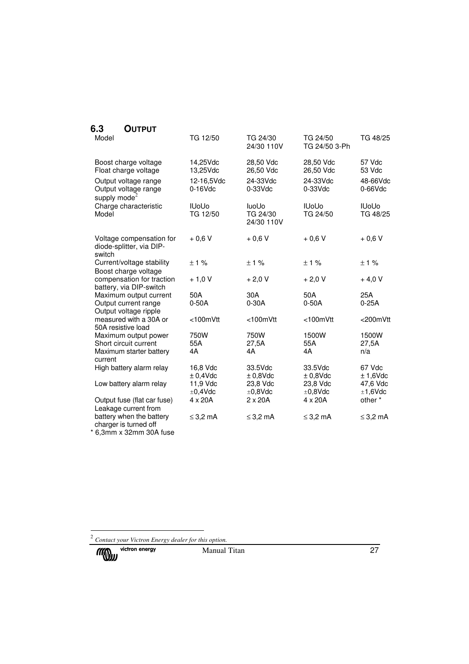## **6.3 OUTPUT**

| Model                                                                                        | TG 12/50                                         | TG 24/30<br>24/30 110V                             | TG 24/50<br>TG 24/50 3-Ph                          | TG 48/25                                   |
|----------------------------------------------------------------------------------------------|--------------------------------------------------|----------------------------------------------------|----------------------------------------------------|--------------------------------------------|
| Boost charge voltage<br>Float charge voltage<br>Output voltage range<br>Output voltage range | 14,25Vdc<br>13,25Vdc<br>12-16,5Vdc<br>$0-16$ Vdc | 28,50 Vdc<br>26,50 Vdc<br>24-33Vdc<br>$0-33$ $Vdc$ | 28,50 Vdc<br>26,50 Vdc<br>24-33Vdc<br>$0-33$ $Vdc$ | 57 Vdc<br>53 Vdc<br>48-66Vdc<br>$0-66$ Vdc |
| supply mode $2$<br>Charge characteristic<br>Model                                            | <b>IUoUo</b><br>TG 12/50                         | <b>luoUo</b><br>TG 24/30<br>24/30 110V             | <b>IUoUo</b><br>TG 24/50                           | <b>IUoUo</b><br>TG 48/25                   |
| Voltage compensation for<br>diode-splitter, via DIP-<br>switch                               | $+0,6V$                                          | $+0,6V$                                            | $+0,6V$                                            | $+0,6V$                                    |
| Current/voltage stability<br>Boost charge voltage                                            | ±1%                                              | $\pm$ 1 %                                          | $\pm$ 1 %                                          | ±1%                                        |
| compensation for traction<br>battery, via DIP-switch                                         | $+1,0V$                                          | $+2,0V$                                            | $+2,0V$                                            | $+4,0V$                                    |
| Maximum output current<br>Output current range<br>Output voltage ripple                      | 50A<br>$0-50A$                                   | 30A<br>$0-30A$                                     | 50A<br>$0-50A$                                     | 25A<br>$0-25A$                             |
| measured with a 30A or<br>50A resistive load                                                 | <100mVtt                                         | <100mVtt                                           | <100mVtt                                           | <200mVtt                                   |
| Maximum output power<br>Short circuit current<br>Maximum starter battery<br>current          | 750W<br>55A<br>4A                                | 750W<br>27,5A<br>4A                                | 1500W<br>55A<br>4A                                 | 1500W<br>27,5A<br>n/a                      |
| High battery alarm relay                                                                     | 16,8 Vdc<br>$± 0,4$ Vdc                          | 33.5Vdc<br>$±0,8$ Vdc                              | 33.5Vdc<br>$±0,8$ Vdc                              | 67 Vdc<br>$± 1,6$ Vdc                      |
| Low battery alarm relay                                                                      | 11,9 Vdc<br>±0,4Vdc                              | 23,8 Vdc<br>±0,8Vdc                                | 23,8 Vdc<br>±0,8Vdc                                | 47,6 Vdc<br>±1,6Vdc                        |
| Output fuse (flat car fuse)<br>Leakage current from                                          | $4 \times 20A$                                   | $2 \times 20A$                                     | $4 \times 20A$                                     | other*                                     |
| battery when the battery<br>charger is turned off                                            | $\leq$ 3.2 mA                                    | $\leq$ 3,2 mA                                      | $\leq$ 3,2 mA                                      | $\leq$ 3.2 mA                              |
|                                                                                              |                                                  |                                                    |                                                    |                                            |

\* 6,3mm x 32mm 30A fuse

 2 *Contact your Victron Energy dealer for this option.*

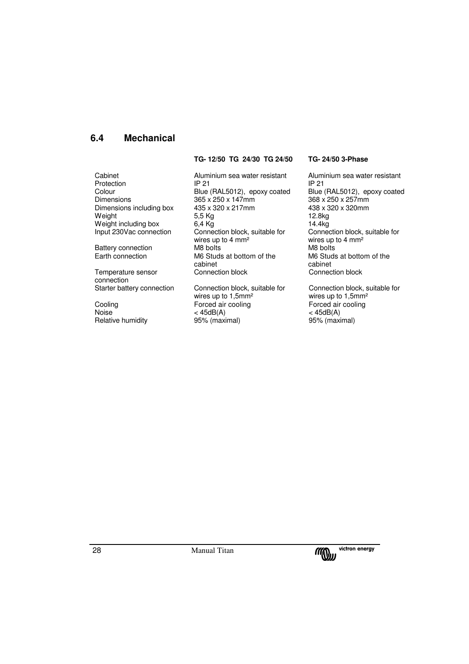## **6.4 Mechanical**

**TG- 12/50 TG 24/30 TG 24/50 TG- 24/50 3-Phase** 

Battery connection<br>Earth connection

Temperature sensor connection<br>Starter battery connection

Relative humidity

Cabinet Aluminium sea water resistant Aluminium sea water resistant Protection IP 21 IP 21 IP 21 IP 21<br>Colour Blue (RAL5012), epoxy coated Blue (RAL5012), epoxy coated Colour Blue (RAL5012), epoxy coated Blue (RAL5012), epoxy coated Blue (RAL5012), epoxy coated Blue (RAL5012), epoxy coated Blue (RAL5012), epoxy coated Blue (RAL5012), ep 365 x 250 x 147mm Dimensions including box  $435 \times 320 \times 217$ mm  $438 \times 320 \times 320$ mm<br>Weight  $5,5 \text{ Kg}$  12.8kg Weight 5,5 Kg 12.8kg Weight including box  $6,4$  Kg 14.4kg<br>
14.4kg<br>
19.16.2000 Connection Connection block, suitable for Connection Connection block, suitable for wires up to 4  $mm<sup>2</sup>$ <br>M8 bolts M6 Studs at bottom of the cabinet<br>Connection block

Connection block, suitable for wires up to 1,5mm<sup>2</sup><br>Forced air cooling Cooling Forced air cooling Forced air cooling<br>  $\leq 45dB(A)$   $\leq 45dB(A)$  $<$  45dB(A)  $<$  45dB(A)  $<$  45dB(A)  $>$ 95% (maximal)

Connection block, suitable for wires up to 4  $mm<sup>2</sup>$ <br>M8 bolts M6 Studs at bottom of the cabinet Connection block

Connection block, suitable for wires up to 1,5mm²

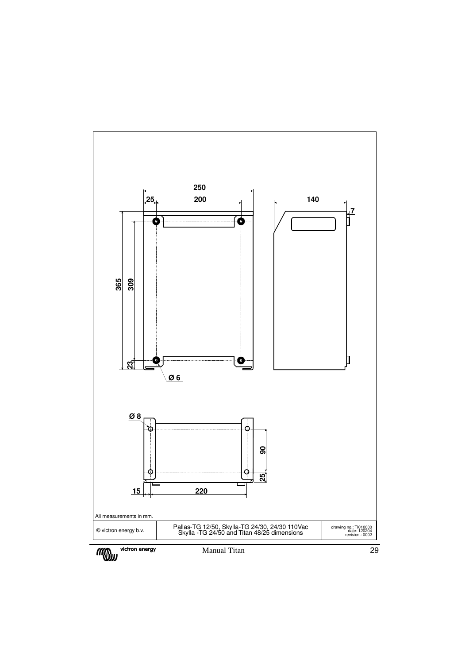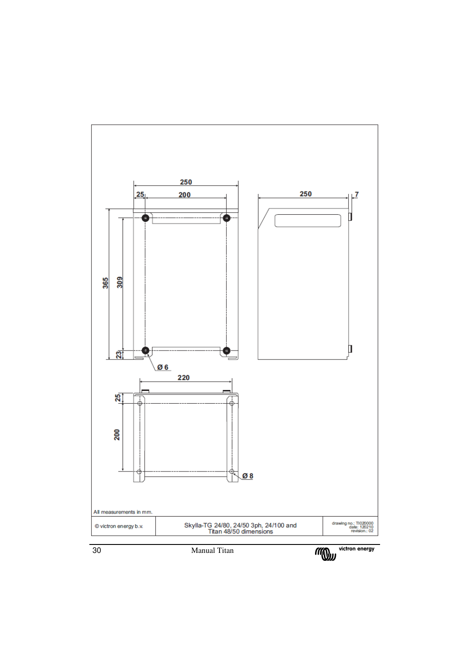